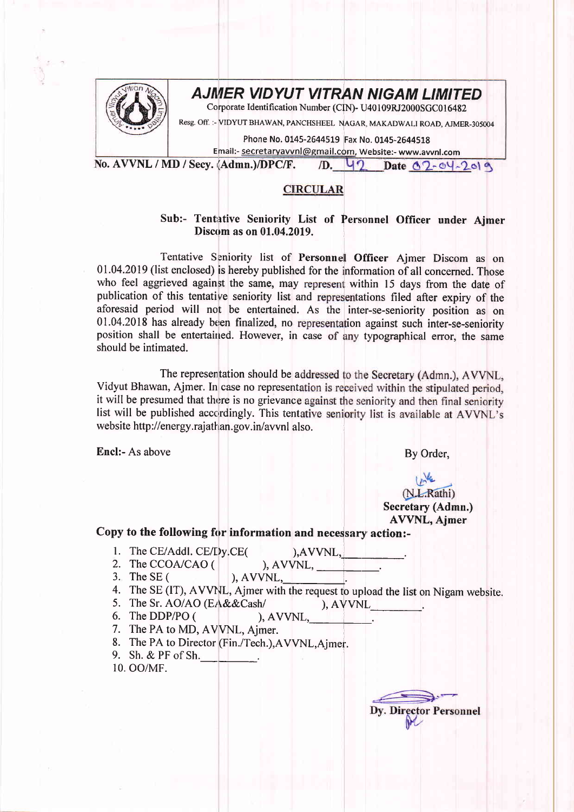

## AJNIER VIDYUT VITRAN NIGAM LIMITED

Corporate Identification Number (CIN)- U40109RJ2000SGC016482

Resg. Off. :- VIDYUT BHAWAN, PANCHSHEEL NAGAR, MAKADWALI ROAD, AJMER-305004

Phone No. 0145-2644519 Fax No. 0145-2644518

Email:- secretaryavvnl@gmail.cdm, Website:- www.awnl.com

No. AVVNL / MD / Secv. (Admn.)/DPC/F. 1D. 42 Date 02-04-2019

## **CIRCULAR**

## Sub:- Tentative Seniority List of Personnel Officer under Ajmer Discom as on 01.04.2019.

Tentative Seniority list of Personnel Officer Ajmer Discom as on 01.04.2019 (list enclosed) is hereby published for the information of all concerned. Those who feel aggrieved against the same, may represent within 15 days from the date of publication of this tentative seniority list and representations filed after expiry of the aforesaid period will not be entertained. As the inter-se-seniority position as on  $01.04.2018$  has already been finalized, no representation against such inter-se-seniority position shall be entertained. However, in case of any typographical error, the same should be intimated.

The representation should be addressed to the Secretary (Admn.), AVVNL, Vidyut Bhawan, Ajmer. In case no representation is received within the stipulated period, it will be presumed that there is no grievance against the seniority and then final seniority list will be published accordingly. This tentative seniority list is available at AVVNL's web site http://energy.rajathan.gov.in/ayvnl also.

Encl:- As above By Order,

## (N.L.Rathi) Secretary (Admn.) AVVNL, Ajmer

Copy to the following for information and necessary action:-

- 1. The CE/Addl.  $CE/Dy$ ,  $CE($  ), AVVNL,
	-
- 2. The CCOA/CAO  $($  ), AVVNL,
- The SE ( ), AVVNL, 3. The SE (
- The SE (IT), AVVNL, Ajmer with the request to upload the list on Nigam website.
- 4. The SE (IT), AVVNL, Ajmer with the request to upload the l.<br>5. The Sr. AO/AO (EA&&Cash/ ), AVVNL. 5. The Sr. AO/AO (EA&&Cash/
- 6. The DDP/PO  $($ ,  $)$ , AVVNL,
- 7. The PA to MD, AVVNL, Ajmer.
- 8. The PA to Director (Fin./Tech.), AVVNL, Ajmer.
- 9. Sh. & PF of Sh.

10. OO/MF

**Dy. Director Personnel**